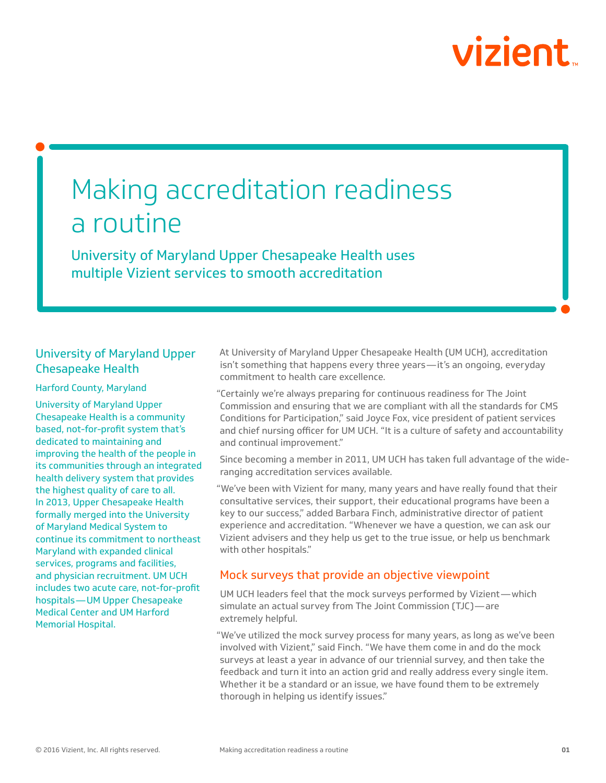# vizient

## Making accreditation readiness a routine

University of Maryland Upper Chesapeake Health uses multiple Vizient services to smooth accreditation

### University of Maryland Upper Chesapeake Health

#### Harford County, Maryland

University of Maryland Upper Chesapeake Health is a community based, not-for-profit system that's dedicated to maintaining and improving the health of the people in its communities through an integrated health delivery system that provides the highest quality of care to all. In 2013, Upper Chesapeake Health formally merged into the University of Maryland Medical System to continue its commitment to northeast Maryland with expanded clinical services, programs and facilities, and physician recruitment. UM UCH includes two acute care, not-for-profit hospitals—UM Upper Chesapeake Medical Center and UM Harford Memorial Hospital.

At University of Maryland Upper Chesapeake Health (UM UCH), accreditation isn't something that happens every three years—it's an ongoing, everyday commitment to health care excellence.

"Certainly we're always preparing for continuous readiness for The Joint Commission and ensuring that we are compliant with all the standards for CMS Conditions for Participation," said Joyce Fox, vice president of patient services and chief nursing officer for UM UCH. "It is a culture of safety and accountability and continual improvement."

Since becoming a member in 2011, UM UCH has taken full advantage of the wideranging accreditation services available.

"We've been with Vizient for many, many years and have really found that their consultative services, their support, their educational programs have been a key to our success," added Barbara Finch, administrative director of patient experience and accreditation. "Whenever we have a question, we can ask our Vizient advisers and they help us get to the true issue, or help us benchmark with other hospitals."

#### Mock surveys that provide an objective viewpoint

UM UCH leaders feel that the mock surveys performed by Vizient—which simulate an actual survey from The Joint Commission (TJC)—are extremely helpful.

"We've utilized the mock survey process for many years, as long as we've been involved with Vizient," said Finch. "We have them come in and do the mock surveys at least a year in advance of our triennial survey, and then take the feedback and turn it into an action grid and really address every single item. Whether it be a standard or an issue, we have found them to be extremely thorough in helping us identify issues."